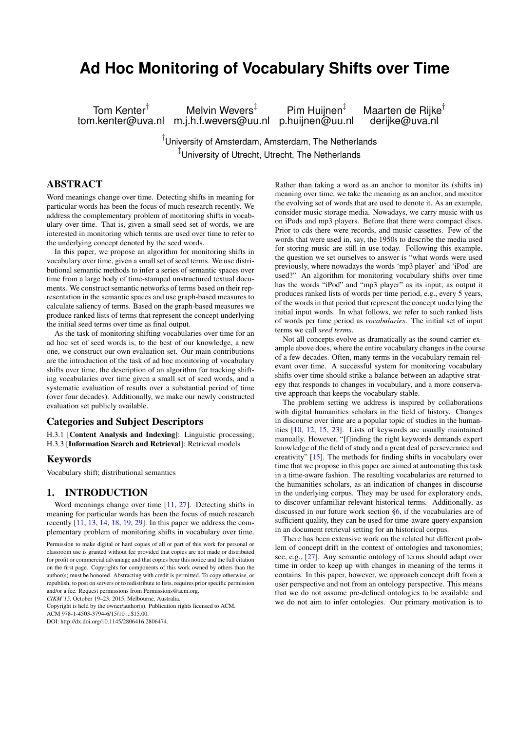# **Ad Hoc Monitoring of Vocabulary Shifts over Time**

Tom Kenter<sup>†</sup> Melvin Wevers<sup>‡</sup> Pim Huijnen<sup>‡</sup> Maarten de Rijke<sup>†</sup><br>1.kenter@uva.nl m.j.h.f.wevers@uu.nl p.huijnen@uu.nl derijke@uva.nl tom.kenter@uva.nl m.j.h.f.wevers@uu.nl p.huijnen@uu.nl

† University of Amsterdam, Amsterdam, The Netherlands ‡ University of Utrecht, Utrecht, The Netherlands

# ABSTRACT

Word meanings change over time. Detecting shifts in meaning for particular words has been the focus of much research recently. We address the complementary problem of monitoring shifts in vocabulary over time. That is, given a small seed set of words, we are interested in monitoring which terms are used over time to refer to the underlying concept denoted by the seed words.

In this paper, we propose an algorithm for monitoring shifts in vocabulary over time, given a small set of seed terms. We use distributional semantic methods to infer a series of semantic spaces over time from a large body of time-stamped unstructured textual documents. We construct semantic networks of terms based on their representation in the semantic spaces and use graph-based measures to calculate saliency of terms. Based on the graph-based measures we produce ranked lists of terms that represent the concept underlying the initial seed terms over time as final output.

As the task of monitoring shifting vocabularies over time for an ad hoc set of seed words is, to the best of our knowledge, a new one, we construct our own evaluation set. Our main contributions are the introduction of the task of ad hoc monitoring of vocabulary shifts over time, the description of an algorithm for tracking shifting vocabularies over time given a small set of seed words, and a systematic evaluation of results over a substantial period of time (over four decades). Additionally, we make our newly constructed evaluation set publicly available.

## Categories and Subject Descriptors

H.3.1 [Content Analysis and Indexing]: Linguistic processing; H.3.3 [Information Search and Retrieval]: Retrieval models

## Keywords

Vocabulary shift; distributional semantics

## <span id="page-0-0"></span>1. INTRODUCTION

Word meanings change over time [\[11,](#page-9-0) [27\]](#page-9-1). Detecting shifts in meaning for particular words has been the focus of much research recently [\[11,](#page-9-0) [13,](#page-9-2) [14,](#page-9-3) [18,](#page-9-4) [19,](#page-9-5) [29\]](#page-9-6). In this paper we address the complementary problem of monitoring shifts in vocabulary over time.

*CIKM'15,* October 19–23, 2015, Melbourne, Australia.

Copyright is held by the owner/author(s). Publication rights licensed to ACM.

 $ACM$  978-1-4503-3794-6/15/10 \$15.00

DOI: http://dx.doi.org/10.1145/2806416.2806474.

Rather than taking a word as an anchor to monitor its (shifts in) meaning over time, we take the meaning as an anchor, and monitor the evolving set of words that are used to denote it. As an example, consider music storage media. Nowadays, we carry music with us on iPods and mp3 players. Before that there were compact discs. Prior to cds there were records, and music cassettes. Few of the words that were used in, say, the 1950s to describe the media used for storing music are still in use today. Following this example, the question we set ourselves to answer is "what words were used previously, where nowadays the words 'mp3 player' and 'iPod' are used?" An algorithm for monitoring vocabulary shifts over time has the words "iPod" and "mp3 player" as its input; as output it produces ranked lists of words per time period, e.g., every 5 years, of the words in that period that represent the concept underlying the initial input words. In what follows, we refer to such ranked lists of words per time period as *vocabularies*. The initial set of input terms we call *seed terms*.

Not all concepts evolve as dramatically as the sound carrier example above does, where the entire vocabulary changes in the course of a few decades. Often, many terms in the vocabulary remain relevant over time. A successful system for monitoring vocabulary shifts over time should strike a balance between an adaptive strategy that responds to changes in vocabulary, and a more conservative approach that keeps the vocabulary stable.

The problem setting we address is inspired by collaborations with digital humanities scholars in the field of history. Changes in discourse over time are a popular topic of studies in the humanities [\[10,](#page-9-7) [12,](#page-9-8) [15,](#page-9-9) [23\]](#page-9-10). Lists of keywords are usually maintained manually. However, "[f]inding the right keywords demands expert knowledge of the field of study and a great deal of perseverance and creativity" [\[15\]](#page-9-9). The methods for finding shifts in vocabulary over time that we propose in this paper are aimed at automating this task in a time-aware fashion. The resulting vocabularies are returned to the humanities scholars, as an indication of changes in discourse in the underlying corpus. They may be used for exploratory ends, to discover unfamiliar relevant historical terms. Additionally, as discussed in our future work section [§6,](#page-9-11) if the vocabularies are of sufficient quality, they can be used for time-aware query expansion in an document retrieval setting for an historical corpus.

There has been extensive work on the related but different problem of concept drift in the context of ontologies and taxonomies; see, e.g., [\[27\]](#page-9-1). Any semantic ontology of terms should adapt over time in order to keep up with changes in meaning of the terms it contains. In this paper, however, we approach concept drift from a user perspective and not from an ontology perspective. This means that we do not assume pre-defined ontologies to be available and we do not aim to infer ontologies. Our primary motivation is to

Permission to make digital or hard copies of all or part of this work for personal or classroom use is granted without fee provided that copies are not made or distributed for profit or commercial advantage and that copies bear this notice and the full citation on the first page. Copyrights for components of this work owned by others than the author(s) must be honored. Abstracting with credit is permitted. To copy otherwise, or republish, to post on servers or to redistribute to lists, requires prior specific permission and/or a fee. Request permissions from Permissions@acm.org.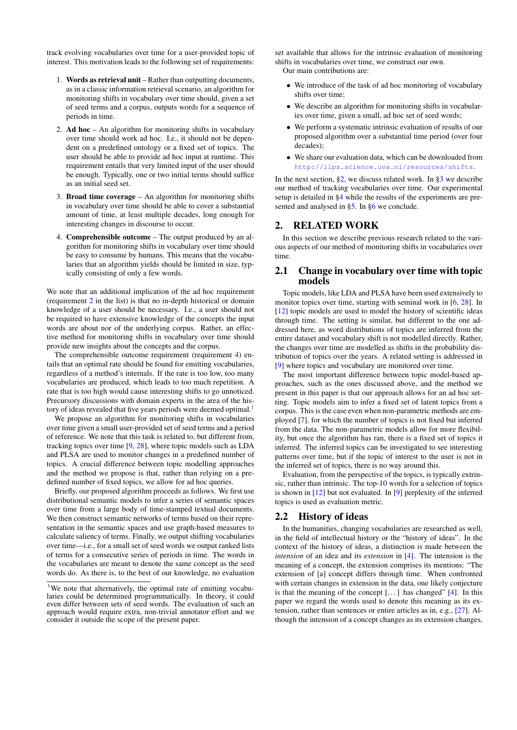track evolving vocabularies over time for a user-provided topic of interest. This motivation leads to the following set of requirements:

- 1. Words as retrieval unit Rather than outputting documents, as in a classic information retrieval scenario, an algorithm for monitoring shifts in vocabulary over time should, given a set of seed terms and a corpus, outputs words for a sequence of periods in time.
- <span id="page-1-0"></span>2. Ad hoc – An algorithm for monitoring shifts in vocabulary over time should work ad hoc. I.e., it should not be dependent on a predefined ontology or a fixed set of topics. The user should be able to provide ad hoc input at runtime. This requirement entails that very limited input of the user should be enough. Typically, one or two initial terms should suffice as an initial seed set.
- 3. Broad time coverage An algorithm for monitoring shifts in vocabulary over time should be able to cover a substantial amount of time, at least multiple decades, long enough for interesting changes in discourse to occur.
- <span id="page-1-1"></span>4. Comprehensible outcome – The output produced by an algorithm for monitoring shifts in vocabulary over time should be easy to consume by humans. This means that the vocabularies that an algorithm yields should be limited in size, typically consisting of only a few words.

We note that an additional implication of the ad hoc requirement (requirement [2](#page-1-0) in the list) is that no in-depth historical or domain knowledge of a user should be necessary. I.e., a user should not be required to have extensive knowledge of the concepts the input words are about nor of the underlying corpus. Rather, an effective method for monitoring shifts in vocabulary over time should provide new insights about the concepts and the corpus.

The comprehensible outcome requirement (requirement [4\)](#page-1-1) entails that an optimal rate should be found for emitting vocabularies, regardless of a method's internals. If the rate is too low, too many vocabularies are produced, which leads to too much repetition. A rate that is too high would cause interesting shifts to go unnoticed. Precursory discussions with domain experts in the area of the his-tory of ideas revealed that five years periods were deemed optimal.<sup>[1](#page-1-2)</sup>

We propose an algorithm for monitoring shifts in vocabularies over time given a small user-provided set of seed terms and a period of reference. We note that this task is related to, but different from, tracking topics over time [\[9,](#page-9-12) [28\]](#page-9-13), where topic models such as LDA and PLSA are used to monitor changes in a predefined number of topics. A crucial difference between topic modelling approaches and the method we propose is that, rather than relying on a predefined number of fixed topics, we allow for ad hoc queries.

Briefly, our proposed algorithm proceeds as follows. We first use distributional semantic models to infer a series of semantic spaces over time from a large body of time-stamped textual documents. We then construct semantic networks of terms based on their representation in the semantic spaces and use graph-based measures to calculate saliency of terms. Finally, we output shifting vocabularies over time—i.e., for a small set of seed words we output ranked lists of terms for a consecutive series of periods in time. The words in the vocabularies are meant to denote the same concept as the seed words do. As there is, to the best of our knowledge, no evaluation

set available that allows for the intrinsic evaluation of monitoring shifts in vocabularies over time, we construct our own.

Our main contributions are:

- We introduce of the task of ad hoc monitoring of vocabulary shifts over time;
- We describe an algorithm for monitoring shifts in vocabularies over time, given a small, ad hoc set of seed words;
- We perform a systematic intrinsic evaluation of results of our proposed algorithm over a substantial time period (over four decades);
- We share our evaluation data, which can be downloaded from <http://ilps.science.uva.nl/resources/shifts>.

In the next section,  $\S2$ , we discuss related work. In  $\S3$  we describe our method of tracking vocabularies over time. Our experimental setup is detailed in [§4](#page-5-0) while the results of the experiments are presented and analysed in [§5.](#page-6-0) In [§6](#page-9-11) we conclude.

# <span id="page-1-3"></span>2. RELATED WORK

In this section we describe previous research related to the various aspects of our method of monitoring shifts in vocabularies over time.

## 2.1 Change in vocabulary over time with topic models

Topic models, like LDA and PLSA have been used extensively to monitor topics over time, starting with seminal work in [\[6,](#page-9-14) [28\]](#page-9-13). In [\[12\]](#page-9-8) topic models are used to model the history of scientific ideas through time. The setting is similar, but different to the one addressed here, as word distributions of topics are inferred from the entire dataset and vocabulary shift is not modelled directly. Rather, the changes over time are modelled as shifts in the probability distribution of topics over the years. A related setting is addressed in [\[9\]](#page-9-12) where topics and vocabulary are monitored over time.

The most important difference between topic model-based approaches, such as the ones discussed above, and the method we present in this paper is that our approach allows for an ad hoc setting. Topic models aim to infer a fixed set of latent topics from a corpus. This is the case even when non-parametric methods are employed [\[7\]](#page-9-15), for which the number of topics is not fixed but inferred from the data. The non-parametric models allow for more flexibility, but once the algorithm has ran, there is a fixed set of topics it inferred. The inferred topics can be investigated to see interesting patterns over time, but if the topic of interest to the user is not in the inferred set of topics, there is no way around this.

Evaluation, from the perspective of the topics, is typically extrinsic, rather than intrinsic. The top-10 words for a selection of topics is shown in [\[12\]](#page-9-8) but not evaluated. In [\[9\]](#page-9-12) perplexity of the inferred topics is used as evaluation metric.

## <span id="page-1-4"></span>2.2 History of ideas

In the humanities, changing vocabularies are researched as well, in the field of intellectual history or the "history of ideas". In the context of the history of ideas, a distinction is made between the *intension* of an idea and its *extension* in [\[4\]](#page-9-16). The intension is the meaning of a concept, the extension comprises its mentions: "The extension of [a] concept differs through time. When confronted with certain changes in extension in the data, one likely conjecture is that the meaning of the concept [. . . ] has changed" [\[4\]](#page-9-16). In this paper we regard the words used to denote this meaning as its extension, rather than sentences or entire articles as in, e.g., [\[27\]](#page-9-1). Although the intension of a concept changes as its extension changes,

<span id="page-1-2"></span><sup>&</sup>lt;sup>1</sup>We note that alternatively, the optimal rate of emitting vocabularies could be determined programmatically. In theory, it could even differ between sets of seed words. The evaluation of such an approach would require extra, non-trivial annotator effort and we consider it outside the scope of the present paper.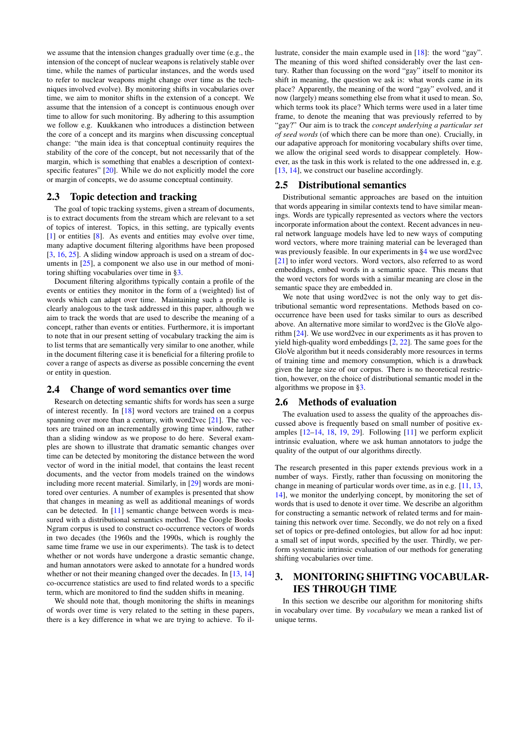we assume that the intension changes gradually over time (e.g., the intension of the concept of nuclear weapons is relatively stable over time, while the names of particular instances, and the words used to refer to nuclear weapons might change over time as the techniques involved evolve). By monitoring shifts in vocabularies over time, we aim to monitor shifts in the extension of a concept. We assume that the intension of a concept is continuous enough over time to allow for such monitoring. By adhering to this assumption we follow e.g. Kuukkanen who introduces a distinction between the core of a concept and its margins when discussing conceptual change: "the main idea is that conceptual continuity requires the stability of the core of the concept, but not necessarily that of the margin, which is something that enables a description of context-specific features" [\[20\]](#page-9-17). While we do not explicitly model the core or margin of concepts, we do assume conceptual continuity.

# 2.3 Topic detection and tracking

The goal of topic tracking systems, given a stream of documents, is to extract documents from the stream which are relevant to a set of topics of interest. Topics, in this setting, are typically events [\[1\]](#page-9-18) or entities [\[8\]](#page-9-19). As events and entities may evolve over time, many adaptive document filtering algorithms have been proposed [\[3,](#page-9-20) [16,](#page-9-21) [25\]](#page-9-22). A sliding window approach is used on a stream of documents in [\[25\]](#page-9-22), a component we also use in our method of monitoring shifting vocabularies over time in [§3.](#page-2-0)

Document filtering algorithms typically contain a profile of the events or entities they monitor in the form of a (weighted) list of words which can adapt over time. Maintaining such a profile is clearly analogous to the task addressed in this paper, although we aim to track the words that are used to describe the meaning of a concept, rather than events or entities. Furthermore, it is important to note that in our present setting of vocabulary tracking the aim is to list terms that are semantically very similar to one another, while in the document filtering case it is beneficial for a filtering profile to cover a range of aspects as diverse as possible concerning the event or entity in question.

## 2.4 Change of word semantics over time

Research on detecting semantic shifts for words has seen a surge of interest recently. In [\[18\]](#page-9-4) word vectors are trained on a corpus spanning over more than a century, with word2vec [\[21\]](#page-9-23). The vectors are trained on an incrementally growing time window, rather than a sliding window as we propose to do here. Several examples are shown to illustrate that dramatic semantic changes over time can be detected by monitoring the distance between the word vector of word in the initial model, that contains the least recent documents, and the vector from models trained on the windows including more recent material. Similarly, in [\[29\]](#page-9-6) words are monitored over centuries. A number of examples is presented that show that changes in meaning as well as additional meanings of words can be detected. In [\[11\]](#page-9-0) semantic change between words is measured with a distributional semantics method. The Google Books Ngram corpus is used to construct co-occurrence vectors of words in two decades (the 1960s and the 1990s, which is roughly the same time frame we use in our experiments). The task is to detect whether or not words have undergone a drastic semantic change, and human annotators were asked to annotate for a hundred words whether or not their meaning changed over the decades. In [\[13,](#page-9-2) [14\]](#page-9-3) co-occurrence statistics are used to find related words to a specific term, which are monitored to find the sudden shifts in meaning.

We should note that, though monitoring the shifts in meanings of words over time is very related to the setting in these papers, there is a key difference in what we are trying to achieve. To illustrate, consider the main example used in [\[18\]](#page-9-4): the word "gay". The meaning of this word shifted considerably over the last century. Rather than focussing on the word "gay" itself to monitor its shift in meaning, the question we ask is: what words came in its place? Apparently, the meaning of the word "gay" evolved, and it now (largely) means something else from what it used to mean. So, which terms took its place? Which terms were used in a later time frame, to denote the meaning that was previously referred to by "gay?" Our aim is to track the *concept underlying a particular set of seed words* (of which there can be more than one). Crucially, in our adapative approach for monitoring vocabulary shifts over time, we allow the original seed words to disappear completely. However, as the task in this work is related to the one addressed in, e.g. [\[13,](#page-9-2) [14\]](#page-9-3), we construct our baseline accordingly.

## <span id="page-2-1"></span>2.5 Distributional semantics

Distributional semantic approaches are based on the intuition that words appearing in similar contexts tend to have similar meanings. Words are typically represented as vectors where the vectors incorporate information about the context. Recent advances in neural network language models have led to new ways of computing word vectors, where more training material can be leveraged than was previously feasible. In our experiments in [§4](#page-5-0) we use word2vec [\[21\]](#page-9-23) to infer word vectors. Word vectors, also referred to as word embeddings, embed words in a semantic space. This means that the word vectors for words with a similar meaning are close in the semantic space they are embedded in.

We note that using word2vec is not the only way to get distributional semantic word representations. Methods based on cooccurrence have been used for tasks similar to ours as described above. An alternative more similar to word2vec is the GloVe algorithm [\[24\]](#page-9-24). We use word2vec in our experiments as it has proven to yield high-quality word embeddings [\[2,](#page-9-25) [22\]](#page-9-26). The same goes for the GloVe algorithm but it needs considerably more resources in terms of training time and memory consumption, which is a drawback given the large size of our corpus. There is no theoretical restriction, however, on the choice of distributional semantic model in the algorithms we propose in [§3.](#page-2-0)

## 2.6 Methods of evaluation

The evaluation used to assess the quality of the approaches discussed above is frequently based on small number of positive examples  $[12-14, 18, 19, 29]$  $[12-14, 18, 19, 29]$  $[12-14, 18, 19, 29]$  $[12-14, 18, 19, 29]$  $[12-14, 18, 19, 29]$  $[12-14, 18, 19, 29]$  $[12-14, 18, 19, 29]$ . Following  $[11]$  we perform explicit intrinsic evaluation, where we ask human annotators to judge the quality of the output of our algorithms directly.

The research presented in this paper extends previous work in a number of ways. Firstly, rather than focussing on monitoring the change in meaning of particular words over time, as in e.g. [\[11,](#page-9-0) [13,](#page-9-2) [14\]](#page-9-3), we monitor the underlying concept, by monitoring the set of words that is used to denote it over time. We describe an algorithm for constructing a semantic network of related terms and for maintaining this network over time. Secondly, we do not rely on a fixed set of topics or pre-defined ontologies, but allow for ad hoc input: a small set of input words, specified by the user. Thirdly, we perform systematic intrinsic evaluation of our methods for generating shifting vocabularies over time.

# <span id="page-2-0"></span>3. MONITORING SHIFTING VOCABULAR-IES THROUGH TIME

In this section we describe our algorithm for monitoring shifts in vocabulary over time. By *vocabulary* we mean a ranked list of unique terms.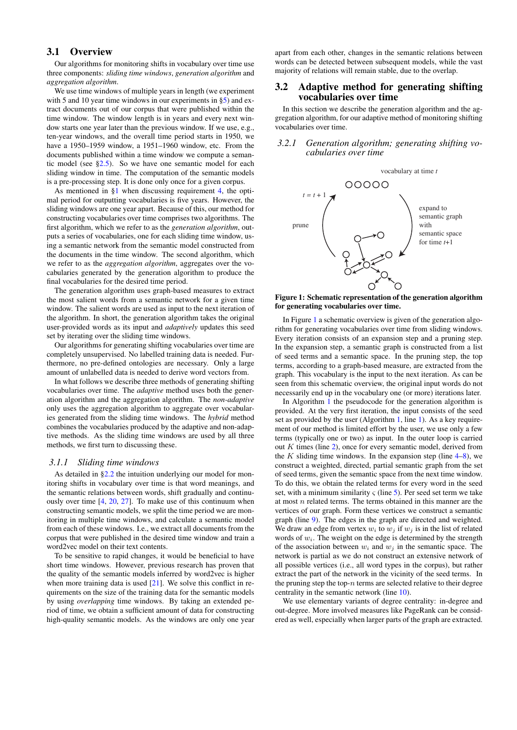# 3.1 Overview

Our algorithms for monitoring shifts in vocabulary over time use three components: *sliding time windows*, *generation algorithm* and *aggregation algorithm*.

We use time windows of multiple years in length (we experiment with 5 and 10 year time windows in our experiments in  $\S$ 5) and extract documents out of our corpus that were published within the time window. The window length is in years and every next window starts one year later than the previous window. If we use, e.g., ten-year windows, and the overall time period starts in 1950, we have a 1950–1959 window, a 1951–1960 window, etc. From the documents published within a time window we compute a semantic model (see  $\S2.5$ ). So we have one semantic model for each sliding window in time. The computation of the semantic models is a pre-processing step. It is done only once for a given corpus.

As mentioned in [§1](#page-0-0) when discussing requirement [4,](#page-1-1) the optimal period for outputting vocabularies is five years. However, the sliding windows are one year apart. Because of this, our method for constructing vocabularies over time comprises two algorithms. The first algorithm, which we refer to as the *generation algorithm*, outputs a series of vocabularies, one for each sliding time window, using a semantic network from the semantic model constructed from the documents in the time window. The second algorithm, which we refer to as the *aggregation algorithm*, aggregates over the vocabularies generated by the generation algorithm to produce the final vocabularies for the desired time period.

The generation algorithm uses graph-based measures to extract the most salient words from a semantic network for a given time window. The salient words are used as input to the next iteration of the algorithm. In short, the generation algorithm takes the original user-provided words as its input and *adaptively* updates this seed set by iterating over the sliding time windows.

Our algorithms for generating shifting vocabularies over time are completely unsupervised. No labelled training data is needed. Furthermore, no pre-defined ontologies are necessary. Only a large amount of unlabelled data is needed to derive word vectors from.

In what follows we describe three methods of generating shifting vocabularies over time. The *adaptive* method uses both the generation algorithm and the aggregation algorithm. The *non-adaptive* only uses the aggregation algorithm to aggregate over vocabularies generated from the sliding time windows. The *hybrid* method combines the vocabularies produced by the adaptive and non-adaptive methods. As the sliding time windows are used by all three methods, we first turn to discussing these.

#### *3.1.1 Sliding time windows*

As detailed in [§2.2](#page-1-4) the intuition underlying our model for monitoring shifts in vocabulary over time is that word meanings, and the semantic relations between words, shift gradually and continuously over time [\[4,](#page-9-16) [20,](#page-9-17) [27\]](#page-9-1). To make use of this continuum when constructing semantic models, we split the time period we are monitoring in multiple time windows, and calculate a semantic model from each of these windows. I.e., we extract all documents from the corpus that were published in the desired time window and train a word2vec model on their text contents.

To be sensitive to rapid changes, it would be beneficial to have short time windows. However, previous research has proven that the quality of the semantic models inferred by word2vec is higher when more training data is used  $[21]$ . We solve this conflict in requirements on the size of the training data for the semantic models by using *overlapping* time windows. By taking an extended period of time, we obtain a sufficient amount of data for constructing high-quality semantic models. As the windows are only one year

apart from each other, changes in the semantic relations between words can be detected between subsequent models, while the vast majority of relations will remain stable, due to the overlap.

#### <span id="page-3-2"></span>3.2 Adaptive method for generating shifting vocabularies over time

In this section we describe the generation algorithm and the aggregation algorithm, for our adaptive method of monitoring shifting vocabularies over time.

#### <span id="page-3-1"></span>*3.2.1 Generation algorithm; generating shifting vocabularies over time*



<span id="page-3-0"></span>Figure 1: Schematic representation of the generation algorithm for generating vocabularies over time.

In Figure [1](#page-3-0) a schematic overview is given of the generation algorithm for generating vocabularies over time from sliding windows. Every iteration consists of an expansion step and a pruning step. In the expansion step, a semantic graph is constructed from a list of seed terms and a semantic space. In the pruning step, the top terms, according to a graph-based measure, are extracted from the graph. This vocabulary is the input to the next iteration. As can be seen from this schematic overview, the original input words do not necessarily end up in the vocabulary one (or more) iterations later.

In Algorithm [1](#page-4-0) the pseudocode for the generation algorithm is provided. At the very first iteration, the input consists of the seed set as provided by the user (Algorithm [1,](#page-4-0) line [1\)](#page-4-1). As a key requirement of our method is limited effort by the user, we use only a few terms (typically one or two) as input. In the outer loop is carried out  $K$  times (line [2\)](#page-4-2), once for every semantic model, derived from the K sliding time windows. In the expansion step (line  $4-8$ ), we construct a weighted, directed, partial semantic graph from the set of seed terms, given the semantic space from the next time window. To do this, we obtain the related terms for every word in the seed set, with a minimum similarity  $\zeta$  (line [5\)](#page-4-5). Per seed set term we take at most  $n$  related terms. The terms obtained in this manner are the vertices of our graph. Form these vertices we construct a semantic graph (line [9\)](#page-4-6). The edges in the graph are directed and weighted. We draw an edge from vertex  $w_i$  to  $w_j$  if  $w_j$  is in the list of related words of  $w_i$ . The weight on the edge is determined by the strength of the association between  $w_i$  and  $w_j$  in the semantic space. The network is partial as we do not construct an extensive network of all possible vertices (i.e., all word types in the corpus), but rather extract the part of the network in the vicinity of the seed terms. In the pruning step the top- $n$  terms are selected relative to their degree centrality in the semantic network (line [10\)](#page-4-7).

We use elementary variants of degree centrality: in-degree and out-degree. More involved measures like PageRank can be considered as well, especially when larger parts of the graph are extracted.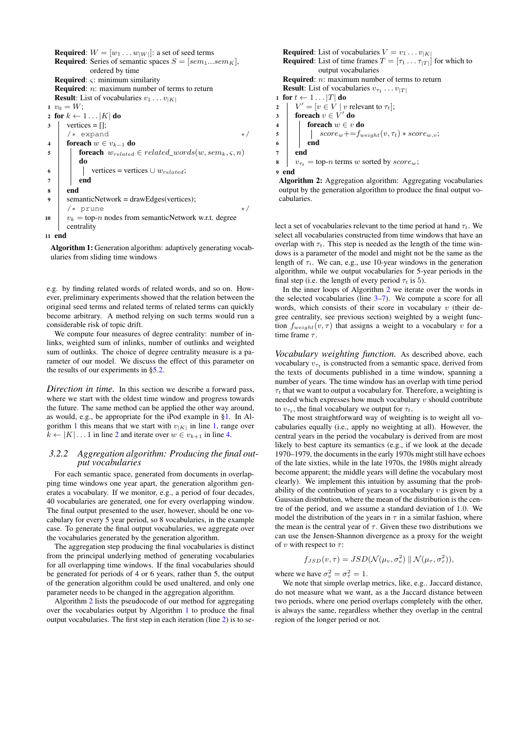<span id="page-4-5"></span><span id="page-4-3"></span><span id="page-4-2"></span><span id="page-4-1"></span>**Required**:  $W = [w_1 \dots w_{|W|}]$ : a set of seed terms **Required:** Series of semantic spaces  $S = [sem_1...sem_K]$ , ordered by time Required:  $\varsigma$ : minimum similarity **Required:** *n*: maximum number of terms to return **Result:** List of vocabularies  $v_1 \dots v_{|K|}$ 1  $v_0 = W$ ; 2 for  $k \leftarrow 1 \dots |K|$  do  $3 \mid$  vertices = [];  $\frac{1}{x}$  expand  $\frac{1}{x}$ 4 foreach  $w \in v_{k-1}$  do 5 **foreach**  $w_{related} \in related\_words(w, sem_k, \varsigma, n)$ do 6 | | vertices = vertices  $\cup w_{related}$ ;  $7 \mid \cdot \cdot \mid$  end <sup>8</sup> end <sup>9</sup> semanticNetwork = drawEdges(vertices);  $/*$  prune  $*/$ 10  $v_k =$  top-*n* nodes from semanticNetwork w.r.t. degree centrality <sup>11</sup> end

<span id="page-4-7"></span><span id="page-4-6"></span><span id="page-4-4"></span><span id="page-4-0"></span>Algorithm 1: Generation algorithm: adaptively generating vocabularies from sliding time windows

e.g. by finding related words of related words, and so on. However, preliminary experiments showed that the relation between the original seed terms and related terms of related terms can quickly become arbitrary. A method relying on such terms would run a considerable risk of topic drift.

We compute four measures of degree centrality: number of inlinks, weighted sum of inlinks, number of outlinks and weighted sum of outlinks. The choice of degree centrality measure is a parameter of our model. We discuss the effect of this parameter on the results of our experiments in [§5.2.](#page-7-0)

*Direction in time.* In this section we describe a forward pass, where we start with the oldest time window and progress towards the future. The same method can be applied the other way around, as would, e.g., be appropriate for the iPod example in [§1.](#page-0-0) In Al-gorithm [1](#page-4-0) this means that we start with  $v_{|K|}$  in line [1,](#page-4-1) range over  $k \leftarrow |K| \dots 1$  in line [2](#page-4-2) and iterate over  $w \in v_{k+1}$  in line [4.](#page-4-3)

#### <span id="page-4-12"></span>*3.2.2 Aggregation algorithm: Producing the final output vocabularies*

For each semantic space, generated from documents in overlapping time windows one year apart, the generation algorithm generates a vocabulary. If we monitor, e.g., a period of four decades, 40 vocabularies are generated, one for every overlapping window. The final output presented to the user, however, should be one vocabulary for every 5 year period, so 8 vocabularies, in the example case. To generate the final output vocabularies, we aggregate over the vocabularies generated by the generation algorithm.

The aggregation step producing the final vocabularies is distinct from the principal underlying method of generating vocabularies for all overlapping time windows. If the final vocabularies should be generated for periods of 4 or 6 years, rather than 5, the output of the generation algorithm could be used unaltered, and only one parameter needs to be changed in the aggregation algorithm.

Algorithm [2](#page-4-8) lists the pseudocode of our method for aggregating over the vocabularies output by Algorithm [1](#page-4-0) to produce the final output vocabularies. The first step in each iteration (line [2\)](#page-4-9) is to se-

<span id="page-4-10"></span><span id="page-4-9"></span>**Required:** List of vocabularies  $V = v_1 \dots v_{|K|}$ **Required:** List of time frames  $T = [\tau_1 \dots \tau_{|T|}]$  for which to output vocabularies Required: *n*: maximum number of terms to return **Result:** List of vocabularies  $v_{\tau_1} \dots v_{|T|}$ 1 for  $t \leftarrow 1 \dots |T|$  do 2  $\mid V' = [v \in V \mid v \text{ relevant to } \tau_t];$ 3  $\int$  foreach  $v \in V'$  do 4 | foreach  $w \in v$  do  $\begin{array}{c|c|c} \text{5} & | & | & score_w += f_{weight}(v, \tau_t) * score_{w,v}; \\ \end{array}$  $6 \mid \cdot \cdot$  end  $7$  end  $v_{\tau_t} =$  top-*n* terms w sorted by score<sub>w</sub>; <sup>9</sup> end

<span id="page-4-11"></span><span id="page-4-8"></span>Algorithm 2: Aggregation algorithm: Aggregating vocabularies output by the generation algorithm to produce the final output vocabularies.

lect a set of vocabularies relevant to the time period at hand  $\tau_t$ . We select all vocabularies constructed from time windows that have an overlap with  $\tau_t$ . This step is needed as the length of the time windows is a parameter of the model and might not be the same as the length of  $\tau_i$ . We can, e.g., use 10-year windows in the generation algorithm, while we output vocabularies for 5-year periods in the final step (i.e. the length of every period  $\tau_t$  is 5).

In the inner loops of Algorithm [2](#page-4-8) we iterate over the words in the selected vocabularies (line  $3-7$ ). We compute a score for all words, which consists of their score in vocabulary  $v$  (their degree centrality, see previous section) weighted by a weight function  $f_{weight}(v, \tau)$  that assigns a weight to a vocabulary v for a time frame  $\tau$ .

*Vocabulary weighting function.* As described above, each vocabulary  $v_{\tau_t}$  is constructed from a semantic space, derived from the texts of documents published in a time window, spanning a number of years. The time window has an overlap with time period  $\tau_t$  that we want to output a vocabulary for. Therefore, a weighting is needed which expresses how much vocabulary  $v$  should contribute to  $v_{\tau_t}$ , the final vocabulary we output for  $\tau_t$ .

The most straightforward way of weighting is to weight all vocabularies equally (i.e., apply no weighting at all). However, the central years in the period the vocabulary is derived from are most likely to best capture its semantics (e.g., if we look at the decade 1970–1979, the documents in the early 1970s might still have echoes of the late sixties, while in the late 1970s, the 1980s might already become apparent; the middle years will define the vocabulary most clearly). We implement this intuition by assuming that the probability of the contribution of years to a vocabulary  $v$  is given by a Gaussian distribution, where the mean of the distribution is the centre of the period, and we assume a standard deviation of 1.0. We model the distribution of the years in  $\tau$  in a similar fashion, where the mean is the central year of  $\tau$ . Given these two distributions we can use the Jensen-Shannon divergence as a proxy for the weight of v with respect to  $\tau$ :

$$
f_{JSD}(v, \tau) = JSD(\mathcal{N}(\mu_v, \sigma_v^2) \parallel \mathcal{N}(\mu_\tau, \sigma_\tau^2)),
$$

where we have  $\sigma_v^2 = \sigma_\tau^2 = 1$ .

We note that simple overlap metrics, like, e.g.. Jaccard distance, do not measure what we want, as a the Jaccard distance between two periods, where one period overlaps completely with the other, is always the same, regardless whether they overlap in the central region of the longer period or not.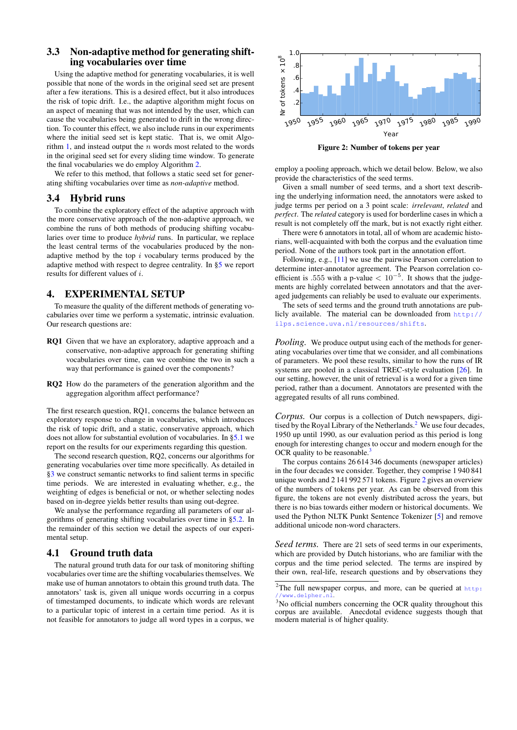# <span id="page-5-4"></span>3.3 Non-adaptive method for generating shifting vocabularies over time

Using the adaptive method for generating vocabularies, it is well possible that none of the words in the original seed set are present after a few iterations. This is a desired effect, but it also introduces the risk of topic drift. I.e., the adaptive algorithm might focus on an aspect of meaning that was not intended by the user, which can cause the vocabularies being generated to drift in the wrong direction. To counter this effect, we also include runs in our experiments where the initial seed set is kept static. That is, we omit Algorithm [1,](#page-4-0) and instead output the n words most related to the words in the original seed set for every sliding time window. To generate the final vocabularies we do employ Algorithm [2.](#page-4-8)

We refer to this method, that follows a static seed set for generating shifting vocabularies over time as *non-adaptive* method.

## 3.4 Hybrid runs

To combine the exploratory effect of the adaptive approach with the more conservative approach of the non-adaptive approach, we combine the runs of both methods of producing shifting vocabularies over time to produce *hybrid* runs. In particular, we replace the least central terms of the vocabularies produced by the nonadaptive method by the top  $i$  vocabulary terms produced by the adaptive method with respect to degree centrality. In [§5](#page-6-0) we report results for different values of i.

## <span id="page-5-0"></span>4. EXPERIMENTAL SETUP

To measure the quality of the different methods of generating vocabularies over time we perform a systematic, intrinsic evaluation. Our research questions are:

- RQ1 Given that we have an exploratory, adaptive approach and a conservative, non-adaptive approach for generating shifting vocabularies over time, can we combine the two in such a way that performance is gained over the components?
- RQ2 How do the parameters of the generation algorithm and the aggregation algorithm affect performance?

The first research question, RQ1, concerns the balance between an exploratory response to change in vocabularies, which introduces the risk of topic drift, and a static, conservative approach, which does not allow for substantial evolution of vocabularies. In [§5.1](#page-6-1) we report on the results for our experiments regarding this question.

The second research question, RQ2, concerns our algorithms for generating vocabularies over time more specifically. As detailed in [§3](#page-2-0) we construct semantic networks to find salient terms in specific time periods. We are interested in evaluating whether, e.g., the weighting of edges is beneficial or not, or whether selecting nodes based on in-degree yields better results than using out-degree.

We analyse the performance regarding all parameters of our algorithms of generating shifting vocabularies over time in [§5.2.](#page-7-0) In the remainder of this section we detail the aspects of our experimental setup.

# <span id="page-5-5"></span>4.1 Ground truth data

The natural ground truth data for our task of monitoring shifting vocabularies over time are the shifting vocabularies themselves. We make use of human annotators to obtain this ground truth data. The annotators' task is, given all unique words occurring in a corpus of timestamped documents, to indicate which words are relevant to a particular topic of interest in a certain time period. As it is not feasible for annotators to judge all word types in a corpus, we



<span id="page-5-3"></span>Figure 2: Number of tokens per year

employ a pooling approach, which we detail below. Below, we also provide the characteristics of the seed terms.

Given a small number of seed terms, and a short text describing the underlying information need, the annotators were asked to judge terms per period on a 3 point scale: *irrelevant*, *related* and *perfect*. The *related* category is used for borderline cases in which a result is not completely off the mark, but is not exactly right either.

There were 6 annotators in total, all of whom are academic historians, well-acquainted with both the corpus and the evaluation time period. None of the authors took part in the annotation effort.

Following, e.g., [\[11\]](#page-9-0) we use the pairwise Pearson correlation to determine inter-annotator agreement. The Pearson correlation coefficient is .555 with a p-value  $< 10^{-5}$ . It shows that the judgements are highly correlated between annotators and that the averaged judgements can reliably be used to evaluate our experiments.

The sets of seed terms and the ground truth annotations are publicly available. The material can be downloaded from [http://](http://ilps.science.uva.nl/resources/shifts) [ilps.science.uva.nl/resources/shifts](http://ilps.science.uva.nl/resources/shifts).

*Pooling.* We produce output using each of the methods for generating vocabularies over time that we consider, and all combinations of parameters. We pool these results, similar to how the runs of IR systems are pooled in a classical TREC-style evaluation [\[26\]](#page-9-27). In our setting, however, the unit of retrieval is a word for a given time period, rather than a document. Annotators are presented with the aggregated results of all runs combined.

*Corpus.* Our corpus is a collection of Dutch newspapers, digi-tised by the Royal Library of the Netherlands.<sup>[2](#page-5-1)</sup> We use four decades, 1950 up until 1990, as our evaluation period as this period is long enough for interesting changes to occur and modern enough for the OCR quality to be reasonable.

The corpus contains 26 614 346 documents (newspaper articles) in the four decades we consider. Together, they comprise 1 940 841 unique words and 2 141 992 571 tokens. Figure [2](#page-5-3) gives an overview of the numbers of tokens per year. As can be observed from this figure, the tokens are not evenly distributed across the years, but there is no bias towards either modern or historical documents. We used the Python NLTK Punkt Sentence Tokenizer [\[5\]](#page-9-28) and remove additional unicode non-word characters.

*Seed terms.* There are 21 sets of seed terms in our experiments, which are provided by Dutch historians, who are familiar with the corpus and the time period selected. The terms are inspired by their own, real-life, research questions and by observations they

<span id="page-5-1"></span><sup>2</sup>The full newspaper corpus, and more, can be queried at [http:](http://www.delpher.nl) ww.delpher.n

<span id="page-5-2"></span><sup>&</sup>lt;sup>3</sup>No official numbers concerning the OCR quality throughout this corpus are available. Anecdotal evidence suggests though that modern material is of higher quality.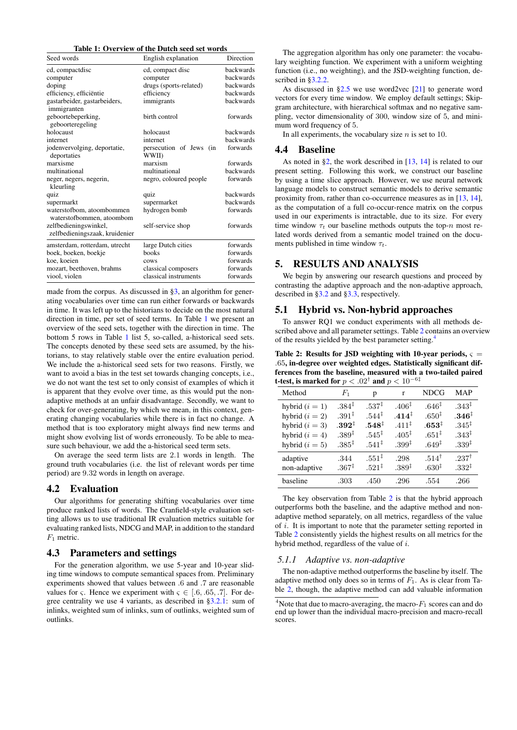#### <span id="page-6-2"></span>Table 1: Overview of the Dutch seed set words

| Seed words                                              | English explanation                         | Direction        |
|---------------------------------------------------------|---------------------------------------------|------------------|
| cd, compactdisc                                         | ed, compact disc                            | backwards        |
| computer                                                | computer                                    | backwards        |
| doping                                                  | drugs (sports-related)                      | backwards        |
| efficiency, efficiëntie                                 | efficiency                                  | <b>backwards</b> |
| gastarbeider, gastarbeiders,<br>immigranten             | immigrants                                  | backwards        |
| geboortebeperking,<br>geboorteregeling                  | birth control                               | forwards         |
| holocaust                                               | holocaust                                   | <b>backwards</b> |
| internet                                                | internet                                    | backwards        |
| jodenvervolging, deportatie,<br>deportaties             | persecution of Jews<br>(in<br><b>WWII</b> ) | forwards         |
| marxisme                                                | marxism                                     | forwards         |
| multinational                                           | multinational                               | backwards        |
| neger, negers, negerin,<br>kleurling                    | negro, coloured people                      | forwards         |
| quiz                                                    | quiz                                        | backwards        |
| supermarkt                                              | supermarket                                 | backwards        |
| waterstofbom, atoombommen<br>waterstofbommen, atoombom  | hydrogen bomb                               | forwards         |
| zelfbedieningswinkel,<br>zelfbedieningszaak, kruidenier | self-service shop                           | forwards         |
| amsterdam, rotterdam, utrecht                           | large Dutch cities                          | forwards         |
| boek, boeken, boekje                                    | books                                       | forwards         |
| koe, koeien                                             | cows                                        | forwards         |
| mozart, beethoven, brahms                               | classical composers                         | forwards         |
| viool, violen                                           | classical instruments                       | forwards         |

made from the corpus. As discussed in [§3,](#page-2-0) an algorithm for generating vocabularies over time can run either forwards or backwards in time. It was left up to the historians to decide on the most natural direction in time, per set of seed terms. In Table [1](#page-6-2) we present an overview of the seed sets, together with the direction in time. The bottom 5 rows in Table [1](#page-6-2) list 5, so-called, a-historical seed sets. The concepts denoted by these seed sets are assumed, by the historians, to stay relatively stable over the entire evaluation period. We include the a-historical seed sets for two reasons. Firstly, we want to avoid a bias in the test set towards changing concepts, i.e., we do not want the test set to only consist of examples of which it is apparent that they evolve over time, as this would put the nonadaptive methods at an unfair disadvantage. Secondly, we want to check for over-generating, by which we mean, in this context, generating changing vocabularies while there is in fact no change. A method that is too exploratory might always find new terms and might show evolving list of words erroneously. To be able to measure such behaviour, we add the a-historical seed term sets.

On average the seed term lists are 2.1 words in length. The ground truth vocabularies (i.e. the list of relevant words per time period) are 9.32 words in length on average.

# 4.2 Evaluation

Our algorithms for generating shifting vocabularies over time produce ranked lists of words. The Cranfield-style evaluation setting allows us to use traditional IR evaluation metrics suitable for evaluating ranked lists, NDCG and MAP, in addition to the standard  $F_1$  metric.

## 4.3 Parameters and settings

For the generation algorithm, we use 5-year and 10-year sliding time windows to compute semantical spaces from. Preliminary experiments showed that values between .6 and .7 are reasonable values for  $\varsigma$ . Hence we experiment with  $\varsigma \in [0.6, 0.65, 0.7]$ . For degree centrality we use 4 variants, as described in [§3.2.1:](#page-3-1) sum of inlinks, weighted sum of inlinks, sum of outlinks, weighted sum of outlinks.

The aggregation algorithm has only one parameter: the vocabulary weighting function. We experiment with a uniform weighting function (i.e., no weighting), and the JSD-weighting function, described in [§3.2.2.](#page-4-12)

As discussed in [§2.5](#page-2-1) we use word2vec [\[21\]](#page-9-23) to generate word vectors for every time window. We employ default settings; Skipgram architecture, with hierarchical softmax and no negative sampling, vector dimensionality of 300, window size of 5, and minimum word frequency of 5.

In all experiments, the vocabulary size  $n$  is set to 10.

#### 4.4 Baseline

As noted in [§2,](#page-1-3) the work described in [\[13,](#page-9-2) [14\]](#page-9-3) is related to our present setting. Following this work, we construct our baseline by using a time slice approach. However, we use neural network language models to construct semantic models to derive semantic proximity from, rather than co-occurrence measures as in [\[13,](#page-9-2) [14\]](#page-9-3), as the computation of a full co-occur-rence matrix on the corpus used in our experiments is intractable, due to its size. For every time window  $\tau_t$  our baseline methods outputs the top-n most related words derived from a semantic model trained on the documents published in time window  $\tau_t$ .

## <span id="page-6-0"></span>5. RESULTS AND ANALYSIS

We begin by answering our research questions and proceed by contrasting the adaptive approach and the non-adaptive approach, described in [§3.2](#page-3-2) and [§3.3,](#page-5-4) respectively.

# <span id="page-6-1"></span>5.1 Hybrid vs. Non-hybrid approaches

To answer RQ1 we conduct experiments with all methods de-scribed above and all parameter settings. Table [2](#page-6-3) contains an overview of the results yielded by the best parameter setting.[4](#page-6-4)

<span id="page-6-3"></span>Table 2: Results for JSD weighting with 10-year periods,  $\varsigma =$ .65, in-degree over weighted edges. Statistically significant differences from the baseline, measured with a two-tailed paired t-test, is marked for  $p < .02^\dagger$  and  $p < 10^{-6\ddagger}$ 

| Method           | $F_1$             | р                 | r                  | <b>NDCG</b>       | <b>MAP</b>        |
|------------------|-------------------|-------------------|--------------------|-------------------|-------------------|
| hybrid $(i = 1)$ | $.384^{\ddagger}$ | $.537^{\ddagger}$ | .406 <sup>‡</sup>  | .646 <sup>‡</sup> | $.343^{\ddagger}$ |
| hybrid $(i = 2)$ | $.391^{\ddagger}$ | $.544^{\ddagger}$ | $.414^{\ddagger}$  | .650 <sup>‡</sup> | $.346^{\ddagger}$ |
| hybrid $(i = 3)$ | $.392^{\ddagger}$ | $.548^{\ddagger}$ | $.411^{\ddagger}$  | $.653^{\ddagger}$ | $.345^{\ddagger}$ |
| hybrid $(i = 4)$ | $.389^{\ddagger}$ | $.545^{\ddagger}$ | $.405^{\ddagger}$  | $.651^{\ddagger}$ | $.343^{\ddagger}$ |
| hybrid $(i = 5)$ | $.385^{\ddagger}$ | $.541^{\ddagger}$ | $0.399^{\ddagger}$ | $.649^{\ddagger}$ | .339 <sup>†</sup> |
| adaptive         | .344              | $.551^{\ddagger}$ | .298               | $.514^{\dagger}$  | .237 $^\dagger$   |
| non-adaptive     | $.367^{\ddagger}$ | $.521^{\ddagger}$ | $.389^{\ddagger}$  | $0.630^{1}$       | $.332^{\ddagger}$ |
| baseline         | .303              | .450              | .296               | .554              | .266              |

The key observation from Table [2](#page-6-3) is that the hybrid approach outperforms both the baseline, and the adaptive method and nonadaptive method separately, on all metrics, regardless of the value of i. It is important to note that the parameter setting reported in Table [2](#page-6-3) consistently yields the highest results on all metrics for the hybrid method, regardless of the value of i.

#### *5.1.1 Adaptive vs. non-adaptive*

The non-adaptive method outperforms the baseline by itself. The adaptive method only does so in terms of  $F_1$ . As is clear from Table [2,](#page-6-3) though, the adaptive method can add valuable information

<span id="page-6-4"></span><sup>&</sup>lt;sup>4</sup>Note that due to macro-averaging, the macro- $F_1$  scores can and do end up lower than the individual macro-precision and macro-recall scores.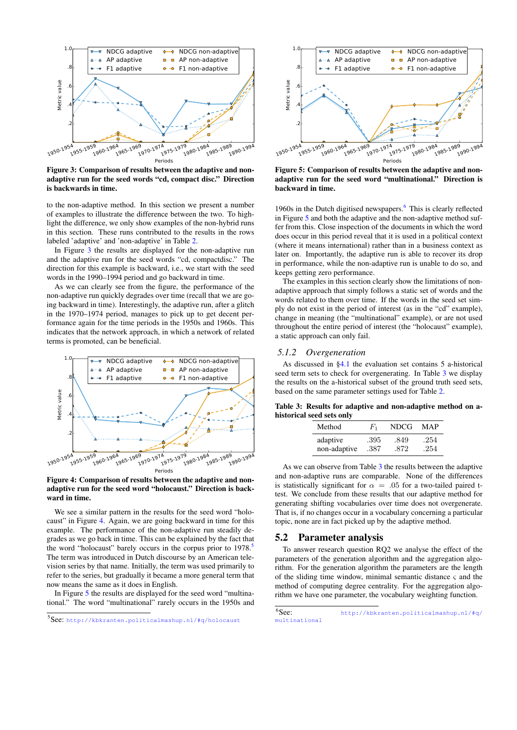

<span id="page-7-1"></span>Figure 3: Comparison of results between the adaptive and nonadaptive run for the seed words "cd, compact disc." Direction is backwards in time.

to the non-adaptive method. In this section we present a number of examples to illustrate the difference between the two. To highlight the difference, we only show examples of the non-hybrid runs in this section. These runs contributed to the results in the rows labeled 'adaptive' and 'non-adaptive' in Table [2.](#page-6-3)

In Figure [3](#page-7-1) the results are displayed for the non-adaptive run and the adaptive run for the seed words "cd, compactdisc." The direction for this example is backward, i.e., we start with the seed words in the 1990–1994 period and go backward in time.

As we can clearly see from the figure, the performance of the non-adaptive run quickly degrades over time (recall that we are going backward in time). Interestingly, the adaptive run, after a glitch in the 1970–1974 period, manages to pick up to get decent performance again for the time periods in the 1950s and 1960s. This indicates that the network approach, in which a network of related terms is promoted, can be beneficial.



<span id="page-7-2"></span>Figure 4: Comparison of results between the adaptive and nonadaptive run for the seed word "holocaust." Direction is backward in time.

We see a similar pattern in the results for the seed word "holocaust" in Figure [4.](#page-7-2) Again, we are going backward in time for this example. The performance of the non-adaptive run steadily degrades as we go back in time. This can be explained by the fact that the word "holocaust" barely occurs in the corpus prior to 1978.<sup>[5](#page-7-3)</sup> The term was introduced in Dutch discourse by an American television series by that name. Initially, the term was used primarily to refer to the series, but gradually it became a more general term that now means the same as it does in English.

In Figure [5](#page-7-4) the results are displayed for the seed word "multinational." The word "multinational" rarely occurs in the 1950s and



<span id="page-7-4"></span>Figure 5: Comparison of results between the adaptive and nonadaptive run for the seed word "multinational." Direction is backward in time.

19[6](#page-7-5)0s in the Dutch digitised newspapers.<sup>6</sup> This is clearly reflected in Figure [5](#page-7-4) and both the adaptive and the non-adaptive method suffer from this. Close inspection of the documents in which the word does occur in this period reveal that it is used in a political context (where it means international) rather than in a business context as later on. Importantly, the adaptive run is able to recover its drop in performance, while the non-adaptive run is unable to do so, and keeps getting zero performance.

The examples in this section clearly show the limitations of nonadaptive approach that simply follows a static set of words and the words related to them over time. If the words in the seed set simply do not exist in the period of interest (as in the "cd" example), change in meaning (the "multinational" example), or are not used throughout the entire period of interest (the "holocaust" example), a static approach can only fail.

#### *5.1.2 Overgeneration*

As discussed in [§4.1](#page-5-5) the evaluation set contains 5 a-historical seed term sets to check for overgenerating. In Table [3](#page-7-6) we display the results on the a-historical subset of the ground truth seed sets, based on the same parameter settings used for Table [2.](#page-6-3)

Table 3: Results for adaptive and non-adaptive method on ahistorical seed sets only

<span id="page-7-6"></span>

| Method       | $F_{1}$ | NDCG | MAP  |
|--------------|---------|------|------|
| adaptive     | .395    | .849 | .254 |
| non-adaptive | .387    | .872 | .254 |

As we can observe from Table [3](#page-7-6) the results between the adaptive and non-adaptive runs are comparable. None of the differences is statistically significant for  $\alpha = .05$  for a two-tailed paired ttest. We conclude from these results that our adaptive method for generating shifting vocabularies over time does not overgenerate. That is, if no changes occur in a vocabulary concerning a particular topic, none are in fact picked up by the adaptive method.

## <span id="page-7-0"></span>5.2 Parameter analysis

To answer research question RQ2 we analyse the effect of the parameters of the generation algorithm and the aggregation algorithm. For the generation algorithm the parameters are the length of the sliding time window, minimal semantic distance  $\varsigma$  and the method of computing degree centrality. For the aggregation algorithm we have one parameter, the vocabulary weighting function.

<span id="page-7-3"></span><sup>5</sup> See: <http://kbkranten.politicalmashup.nl/#q/holocaust>

<span id="page-7-5"></span> $6$ See: [http://kbkranten.politicalmashup.nl/#q/](http://kbkranten.politicalmashup.nl/#q/multinational) [multinational](http://kbkranten.politicalmashup.nl/#q/multinational)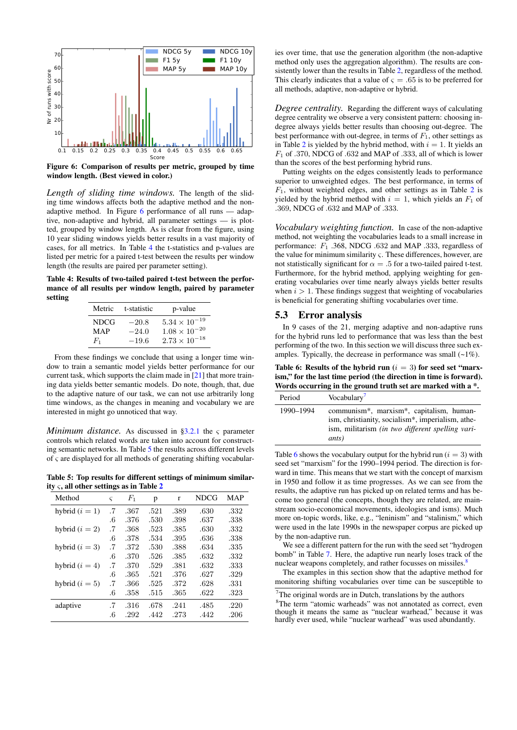

<span id="page-8-0"></span>Figure 6: Comparison of results per metric, grouped by time window length. (Best viewed in color.)

*Length of sliding time windows.* The length of the sliding time windows affects both the adaptive method and the nonadaptive method. In Figure [6](#page-8-0) performance of all runs — adaptive, non-adaptive and hybrid, all parameter settings — is plotted, grouped by window length. As is clear from the figure, using 10 year sliding windows yields better results in a vast majority of cases, for all metrics. In Table [4](#page-8-1) the t-statistics and p-values are listed per metric for a paired t-test between the results per window length (the results are paired per parameter setting).

<span id="page-8-1"></span>Table 4: Results of two-tailed paired t-test between the performance of all results per window length, paired by parameter setting

| Metric | t-statistic | p-value                |
|--------|-------------|------------------------|
| NDCG   | $-20.8$     | $5.34 \times 10^{-19}$ |
| MAP    | $-24.0$     | $1.08 \times 10^{-20}$ |
| $F_1$  | $-19.6$     | $2.73 \times 10^{-18}$ |

From these findings we conclude that using a longer time window to train a semantic model yields better performance for our current task, which supports the claim made in [\[21\]](#page-9-23) that more training data yields better semantic models. Do note, though, that, due to the adaptive nature of our task, we can not use arbitrarily long time windows, as the changes in meaning and vocabulary we are interested in might go unnoticed that way.

*Minimum distance.* As discussed in  $\S$ 3.2.1 the  $\varsigma$  parameter controls which related words are taken into account for constructing semantic networks. In Table [5](#page-8-2) the results across different levels of ς are displayed for all methods of generating shifting vocabular-

<span id="page-8-2"></span>Table 5: Top results for different settings of minimum similarity  $\varsigma$ , all other settings as in Table [2](#page-6-3)

| Method           | $\varsigma$ | $F_1$ | p    | r    | NDCG | <b>MAP</b> |
|------------------|-------------|-------|------|------|------|------------|
| hybrid $(i = 1)$ | .7          | .367  | .521 | .389 | .630 | .332       |
|                  | $.6\,$      | .376  | .530 | .398 | .637 | .338       |
| hybrid $(i = 2)$ | .7          | .368  | .523 | .385 | .630 | .332       |
|                  | .6          | .378  | .534 | .395 | .636 | .338       |
| hybrid $(i = 3)$ | .7          | .372  | .530 | .388 | .634 | .335       |
|                  | .6          | .370  | .526 | .385 | .632 | .332       |
| hybrid $(i = 4)$ | .7          | .370  | .529 | .381 | .632 | .333       |
|                  | .6          | .365  | .521 | .376 | .627 | .329       |
| hybrid $(i = 5)$ | .7          | .366  | .525 | .372 | .628 | .331       |
|                  | .6          | .358  | .515 | .365 | .622 | .323       |
| adaptive         | .7          | .316  | .678 | .241 | .485 | .220       |
|                  | .6          | .292  | .442 | .273 | .442 | .206       |

ies over time, that use the generation algorithm (the non-adaptive method only uses the aggregation algorithm). The results are consistently lower than the results in Table [2,](#page-6-3) regardless of the method. This clearly indicates that a value of  $\varsigma = .65$  is to be preferred for all methods, adaptive, non-adaptive or hybrid.

*Degree centrality.* Regarding the different ways of calculating degree centrality we observe a very consistent pattern: choosing indegree always yields better results than choosing out-degree. The best performance with out-degree, in terms of  $F_1$ , other settings as in Table [2](#page-6-3) is yielded by the hybrid method, with  $i = 1$ . It yields an  $F_1$  of .370, NDCG of .632 and MAP of .333, all of which is lower than the scores of the best performing hybrid runs.

Putting weights on the edges consistently leads to performance superior to unweighted edges. The best performance, in terms of  $F_1$ , without weighted edges, and other settings as in Table [2](#page-6-3) is yielded by the hybrid method with  $i = 1$ , which yields an  $F_1$  of .369, NDCG of .632 and MAP of .333.

*Vocabulary weighting function.* In case of the non-adaptive method, not weighting the vocabularies leads to a small increase in performance:  $F_1$  .368, NDCG .632 and MAP .333, regardless of the value for minimum similarity  $\varsigma$ . These differences, however, are not statistically significant for  $\alpha = .5$  for a two-tailed paired t-test. Furthermore, for the hybrid method, applying weighting for generating vocabularies over time nearly always yields better results when  $i > 1$ . These findings suggest that weighting of vocabularies is beneficial for generating shifting vocabularies over time.

#### 5.3 Error analysis

In 9 cases of the 21, merging adaptive and non-adaptive runs for the hybrid runs led to performance that was less than the best performing of the two. In this section we will discuss three such examples. Typically, the decrease in performance was small  $(-1\%)$ .

<span id="page-8-4"></span>Table 6: Results of the hybrid run  $(i = 3)$  for seed set "marxism," for the last time period (the direction in time is forward). Words occurring in the ground truth set are marked with a \*.

| Period    | Vocabulary <sup>'</sup>                                                                                                                                                        |
|-----------|--------------------------------------------------------------------------------------------------------------------------------------------------------------------------------|
| 1990–1994 | communism*, marxism*, capitalism, human-<br>ism, christianity, socialism <sup>*</sup> , imperialism, athe-<br>ism, militarism <i>(in two different spelling vari-</i><br>ants) |

Table [6](#page-8-4) shows the vocabulary output for the hybrid run ( $i = 3$ ) with seed set "marxism" for the 1990–1994 period. The direction is forward in time. This means that we start with the concept of marxism in 1950 and follow it as time progresses. As we can see from the results, the adaptive run has picked up on related terms and has become too general (the concepts, though they are related, are mainstream socio-economical movements, ideologies and isms). Much more on-topic words, like, e.g., "leninism" and "stalinism," which were used in the late 1990s in the newspaper corpus are picked up by the non-adaptive run.

We see a different pattern for the run with the seed set "hydrogen bomb" in Table [7.](#page-9-29) Here, the adaptive run nearly loses track of the nuclear weapons completely, and rather focusses on missiles.<sup>[8](#page-8-5)</sup>

The examples in this section show that the adaptive method for monitoring shifting vocabularies over time can be susceptible to

<span id="page-8-3"></span> $7$ The original words are in Dutch, translations by the authors

<span id="page-8-5"></span><sup>&</sup>lt;sup>8</sup>The term "atomic warheads" was not annotated as correct, even though it means the same as "nuclear warhead," because it was hardly ever used, while "nuclear warhead" was used abundantly.